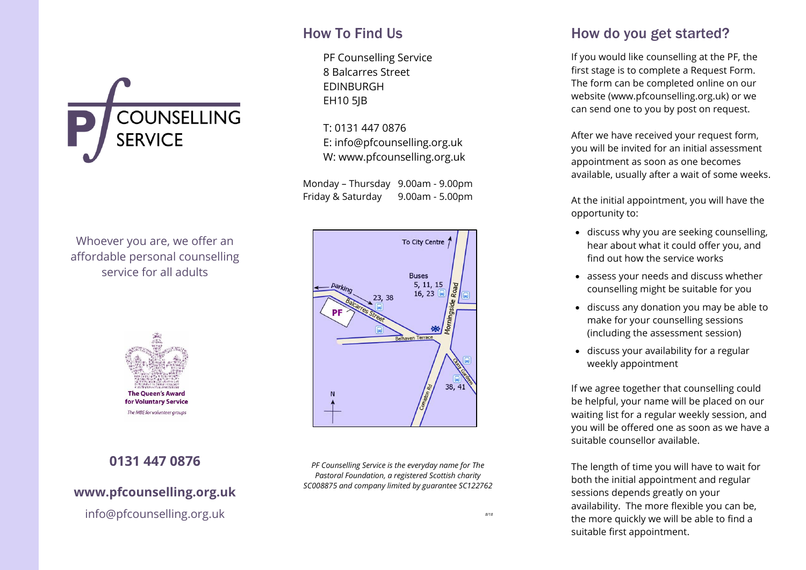

#### How To Find Us

PF Counselling Service 8 Balcarres Street EDINBURGH EH10 5JB

T: 0131 447 0876 E: [info@pfcounselling.org.uk](mailto:info@pfcounselling.org.uk) W: www.pfcounselling.org.uk

Monday – Thursday 9.00am - 9.00pm Friday & Saturday 9.00am - 5.00pm

Whoever you are, we offer an affordable personal counselling service for all adults



*PF Counselling Service is the everyday name for The Pastoral Foundation, a registered Scottish charity SC008875 and company limited by guarantee SC122762*

# **0131 447 0876**

#### **[www.pfcounselling.org.uk](http://www.pfcounselling.org.uk/)**

**The Queen's Award** for Voluntary Service The MBE for volunteer groups

[info@pfcounselling.org.uk](mailto:info@pfcounselling.org.uk)

How do you get started?

If you would like counselling at the PF, the first stage is to complete a Request Form. The form can be completed online on our website (www.pfcounselling.org.uk) or we can send one to you by post on request.

After we have received your request form, you will be invited for an initial assessment appointment as soon as one becomes available, usually after a wait of some weeks.

At the initial appointment, you will have the opportunity to:

- discuss why you are seeking counselling, hear about what it could offer you, and find out how the service works
- assess your needs and discuss whether counselling might be suitable for you
- discuss any donation you may be able to make for your counselling sessions (including the assessment session)
- discuss your availability for a regular weekly appointment

If we agree together that counselling could be helpful, your name will be placed on our waiting list for a regular weekly session, and you will be offered one as soon as we have a suitable counsellor available.

The length of time you will have to wait for both the initial appointment and regular sessions depends greatly on your availability. The more flexible you can be, the more quickly we will be able to find a suitable first appointment.

*8/18*